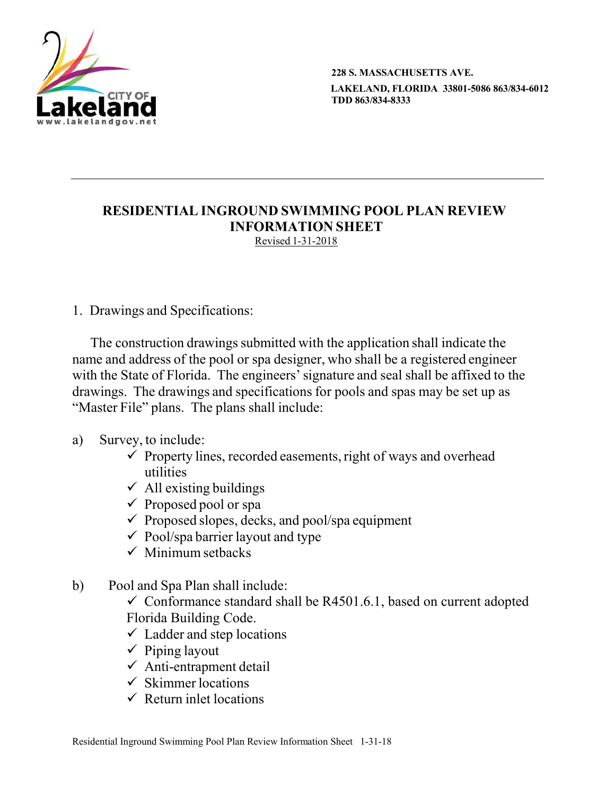

**228 S. MASSACHUSETTS AVE. LAKELAND, FLORIDA 33801-5086 863/834-6012 TDD 863/834-8333**

## **RESIDENTIAL INGROUND SWIMMING POOL PLAN REVIEW INFORMATION SHEET** Revised 1-31-2018

1. Drawings and Specifications:

The construction drawings submitted with the application shall indicate the name and address of the pool or spa designer, who shall be a registered engineer with the State of Florida. The engineers' signature and seal shall be affixed to the drawings. The drawings and specifications for pools and spas may be set up as "Master File" plans. The plans shall include:

## a) Survey, to include:

- $\checkmark$  Property lines, recorded easements, right of ways and overhead utilities
- $\checkmark$  All existing buildings
- $\checkmark$  Proposed pool or spa
- $\checkmark$  Proposed slopes, decks, and pool/spa equipment
- $\checkmark$  Pool/spa barrier layout and type
- $\checkmark$  Minimum setbacks
- b) Pool and Spa Plan shall include:

 $\checkmark$  Conformance standard shall be R4501.6.1, based on current adopted Florida Building Code.

- $\checkmark$  Ladder and step locations
- $\checkmark$  Piping layout
- $\checkmark$  Anti-entrapment detail
- $\checkmark$  Skimmer locations
- $\checkmark$  Return inlet locations